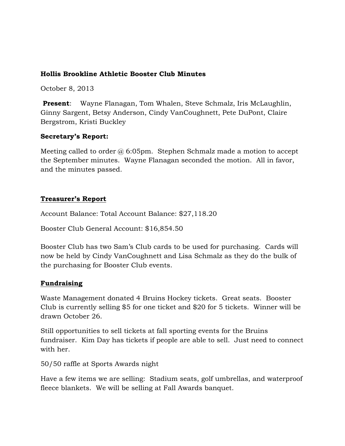## **Hollis Brookline Athletic Booster Club Minutes**

October 8, 2013

**Present**: Wayne Flanagan, Tom Whalen, Steve Schmalz, Iris McLaughlin, Ginny Sargent, Betsy Anderson, Cindy VanCoughnett, Pete DuPont, Claire Bergstrom, Kristi Buckley

#### **Secretary's Report:**

Meeting called to order  $\omega$  6:05pm. Stephen Schmalz made a motion to accept the September minutes. Wayne Flanagan seconded the motion. All in favor, and the minutes passed.

#### **Treasurer's Report**

Account Balance: Total Account Balance: \$27,118.20

Booster Club General Account: \$16,854.50

Booster Club has two Sam's Club cards to be used for purchasing. Cards will now be held by Cindy VanCoughnett and Lisa Schmalz as they do the bulk of the purchasing for Booster Club events.

# **Fundraising**

Waste Management donated 4 Bruins Hockey tickets. Great seats. Booster Club is currently selling \$5 for one ticket and \$20 for 5 tickets. Winner will be drawn October 26.

Still opportunities to sell tickets at fall sporting events for the Bruins fundraiser. Kim Day has tickets if people are able to sell. Just need to connect with her.

50/50 raffle at Sports Awards night

Have a few items we are selling: Stadium seats, golf umbrellas, and waterproof fleece blankets. We will be selling at Fall Awards banquet.